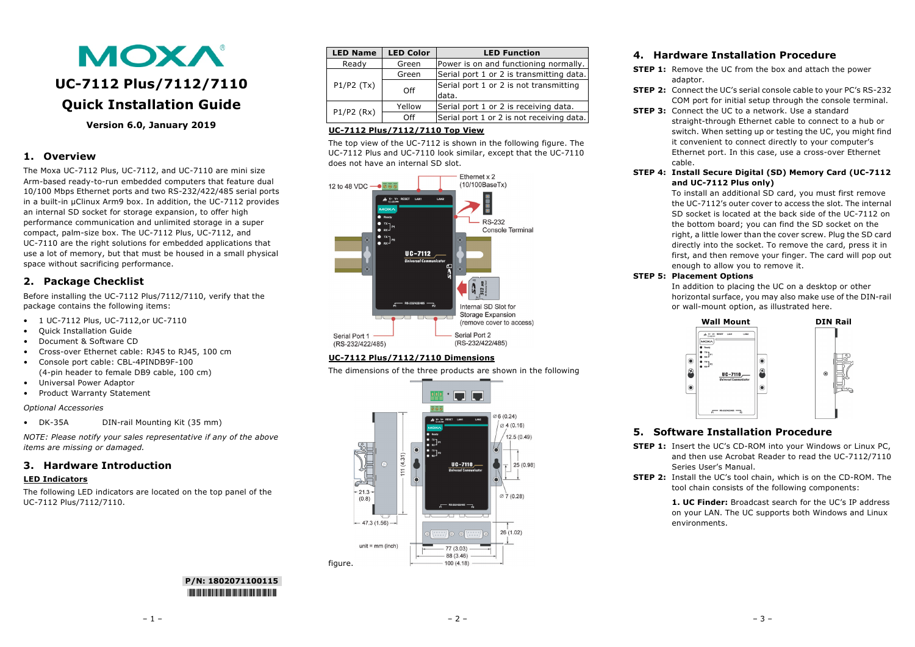# **MOXA UC-7112 Plus/7112/7110 Quick Installation Guide**

**Version 6.0, January 2019**

# **1. Overview**

The Moxa UC-7112 Plus, UC-7112, and UC-7110 are mini size Arm-based ready-to-run embedded computers that feature dual 10/100 Mbps Ethernet ports and two RS-232/422/485 serial ports in a built-in µClinux Arm9 box. In addition, the UC-7112 provides an internal SD socket for storage expansion, to offer high performance communication and unlimited storage in a super compact, palm-size box. The UC-7112 Plus, UC-7112, and UC-7110 are the right solutions for embedded applications that use a lot of memory, but that must be housed in a small physical space without sacrificing performance.

# **2. Package Checklist**

Before installing the UC-7112 Plus/7112/7110, verify that the package contains the following items:

- 1 UC-7112 Plus, UC-7112,or UC-7110
- Quick Installation Guide
- Document & Software CD
- Cross-over Ethernet cable: RJ45 to RJ45, 100 cm
- Console port cable: CBL-4PINDB9F-100 (4-pin header to female DB9 cable, 100 cm)
- Universal Power Adaptor
- Product Warranty Statement

#### *Optional Accessories*

• DK-35A DIN-rail Mounting Kit (35 mm)

*NOTE: Please notify your sales representative if any of the above items are missing or damaged.*

# **3. Hardware Introduction**

#### **LED Indicators**

The following LED indicators are located on the top panel of the UC-7112 Plus/7112/7110.

| <b>LED Name</b> | <b>LED Color</b>    | <b>LED Function</b>                       |
|-----------------|---------------------|-------------------------------------------|
| Ready           | Green               | Power is on and functioning normally.     |
|                 | Green               | Serial port 1 or 2 is transmitting data.  |
| P1/P2(Tx)       | Off                 | Serial port 1 or 2 is not transmitting    |
|                 |                     | data.                                     |
| $P1/P2$ (Rx)    | Yellow              | Serial port 1 or 2 is receiving data.     |
|                 | $\bigcap_{i=1}^{n}$ | Serial port 1 or 2 is not receiving data. |

# **UC-7112 Plus/7112/7110 Top View**

The top view of the UC-7112 is shown in the following figure. The UC-7112 Plus and UC-7110 look similar, except that the UC-7110 does not have an internal SD slot.



# **UC-7112 Plus/7112/7110 Dimensions**

The dimensions of the three products are shown in the following



# **4. Hardware Installation Procedure**

- **STEP 1:** Remove the UC from the box and attach the power adaptor.
- **STEP 2:** Connect the UC's serial console cable to your PC's RS-232 COM port for initial setup through the console terminal.
- **STEP 3:** Connect the UC to a network. Use a standard straight-through Ethernet cable to connect to a hub or switch. When setting up or testing the UC, you might find it convenient to connect directly to your computer's Ethernet port. In this case, use a cross-over Ethernet cable.
- **STEP 4: Install Secure Digital (SD) Memory Card (UC-7112 and UC-7112 Plus only)**

To install an additional SD card, you must first remove the UC-7112's outer cover to access the slot. The internal SD socket is located at the back side of the UC-7112 on the bottom board; you can find the SD socket on the right, a little lower than the cover screw. Plug the SD card directly into the socket. To remove the card, press it in first, and then remove your finger. The card will pop out enough to allow you to remove it.

## **STEP 5: Placement Options**

In addition to placing the UC on a desktop or other horizontal surface, you may also make use of the DIN-rail or wall-mount option, as illustrated here.



# **5. Software Installation Procedure**

- **STEP 1:** Insert the UC's CD-ROM into your Windows or Linux PC, and then use Acrobat Reader to read the UC-7112/7110 Series User's Manual.
- **STEP 2:** Install the UC's tool chain, which is on the CD-ROM. The tool chain consists of the following components:

**1. UC Finder:** Broadcast search for the UC's IP address on your LAN. The UC supports both Windows and Linux environments.

**P/N: 1802071100115** \*1802071100115\*